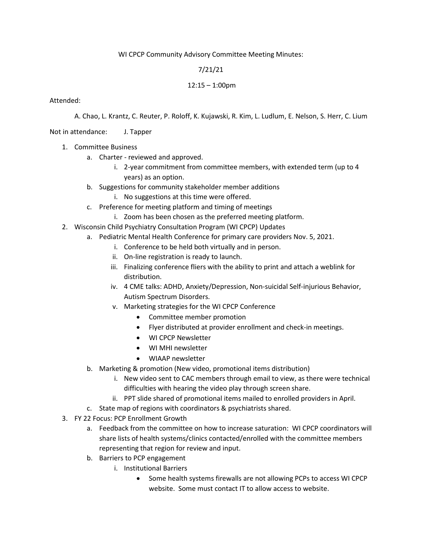## WI CPCP Community Advisory Committee Meeting Minutes:

## 7/21/21

## 12:15 – 1:00pm

Attended:

A. Chao, L. Krantz, C. Reuter, P. Roloff, K. Kujawski, R. Kim, L. Ludlum, E. Nelson, S. Herr, C. Lium

Not in attendance: J. Tapper

- 1. Committee Business
	- a. Charter reviewed and approved.
		- i. 2-year commitment from committee members, with extended term (up to 4 years) as an option.
	- b. Suggestions for community stakeholder member additions
		- i. No suggestions at this time were offered.
	- c. Preference for meeting platform and timing of meetings
		- i. Zoom has been chosen as the preferred meeting platform.
- 2. Wisconsin Child Psychiatry Consultation Program (WI CPCP) Updates
	- a. Pediatric Mental Health Conference for primary care providers Nov. 5, 2021.
		- i. Conference to be held both virtually and in person.
		- ii. On-line registration is ready to launch.
		- iii. Finalizing conference fliers with the ability to print and attach a weblink for distribution.
		- iv. 4 CME talks: ADHD, Anxiety/Depression, Non-suicidal Self-injurious Behavior, Autism Spectrum Disorders.
		- v. Marketing strategies for the WI CPCP Conference
			- Committee member promotion
			- Flyer distributed at provider enrollment and check-in meetings.
			- WI CPCP Newsletter
			- WI MHI newsletter
			- WIAAP newsletter
	- b. Marketing & promotion (New video, promotional items distribution)
		- i. New video sent to CAC members through email to view, as there were technical difficulties with hearing the video play through screen share.
		- ii. PPT slide shared of promotional items mailed to enrolled providers in April.
	- c. State map of regions with coordinators & psychiatrists shared.
- 3. FY 22 Focus: PCP Enrollment Growth
	- a. Feedback from the committee on how to increase saturation: WI CPCP coordinators will share lists of health systems/clinics contacted/enrolled with the committee members representing that region for review and input.
	- b. Barriers to PCP engagement
		- i. Institutional Barriers
			- Some health systems firewalls are not allowing PCPs to access WI CPCP website. Some must contact IT to allow access to website.